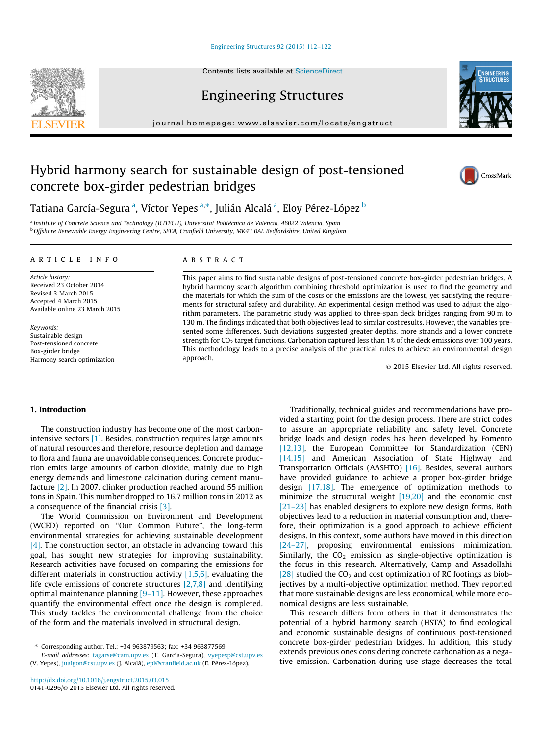#### [Engineering Structures 92 \(2015\) 112–122](http://dx.doi.org/10.1016/j.engstruct.2015.03.015)

Contents lists available at [ScienceDirect](http://www.sciencedirect.com/science/journal/01410296)

Engineering Structures

journal homepage: [www.elsevier.com/locate/engstruct](http://www.elsevier.com/locate/engstruct)

# Hybrid harmony search for sustainable design of post-tensioned concrete box-girder pedestrian bridges

Tatiana García-Segura <sup>a</sup>, Víctor Yepes <sup>a,</sup>\*, Julián Alcalá <sup>a</sup>, Eloy Pérez-López <sup>b</sup>

<sup>a</sup> Institute of Concrete Science and Technology (ICITECH), Universitat Politècnica de València, 46022 Valencia, Spain b Offshore Renewable Energy Engineering Centre, SEEA, Cranfield University, MK43 0AL Bedfordshire, United Kingdom

#### article info

Article history: Received 23 October 2014 Revised 3 March 2015 Accepted 4 March 2015 Available online 23 March 2015

Keywords: Sustainable design Post-tensioned concrete Box-girder bridge Harmony search optimization

#### A B S T R A C T

This paper aims to find sustainable designs of post-tensioned concrete box-girder pedestrian bridges. A hybrid harmony search algorithm combining threshold optimization is used to find the geometry and the materials for which the sum of the costs or the emissions are the lowest, yet satisfying the requirements for structural safety and durability. An experimental design method was used to adjust the algorithm parameters. The parametric study was applied to three-span deck bridges ranging from 90 m to 130 m. The findings indicated that both objectives lead to similar cost results. However, the variables presented some differences. Such deviations suggested greater depths, more strands and a lower concrete strength for  $CO<sub>2</sub>$  target functions. Carbonation captured less than 1% of the deck emissions over 100 years. This methodology leads to a precise analysis of the practical rules to achieve an environmental design approach.

- 2015 Elsevier Ltd. All rights reserved.

## 1. Introduction

The construction industry has become one of the most carbonintensive sectors [\[1\]](#page--1-0). Besides, construction requires large amounts of natural resources and therefore, resource depletion and damage to flora and fauna are unavoidable consequences. Concrete production emits large amounts of carbon dioxide, mainly due to high energy demands and limestone calcination during cement manufacture [\[2\].](#page--1-0) In 2007, clinker production reached around 55 million tons in Spain. This number dropped to 16.7 million tons in 2012 as a consequence of the financial crisis [\[3\]](#page--1-0).

The World Commission on Environment and Development (WCED) reported on ''Our Common Future'', the long-term environmental strategies for achieving sustainable development [\[4\]](#page--1-0). The construction sector, an obstacle in advancing toward this goal, has sought new strategies for improving sustainability. Research activities have focused on comparing the emissions for different materials in construction activity  $[1,5,6]$ , evaluating the life cycle emissions of concrete structures [\[2,7,8\]](#page--1-0) and identifying optimal maintenance planning  $[9-11]$ . However, these approaches quantify the environmental effect once the design is completed. This study tackles the environmental challenge from the choice of the form and the materials involved in structural design.

E-mail addresses: [tagarse@cam.upv.es](mailto:tagarse@cam.upv.es) (T. García-Segura), [vyepesp@cst.upv.es](mailto:vyepesp@cst.upv.es) (V. Yepes), [jualgon@cst.upv.es](mailto:jualgon@cst.upv.es) (J. Alcalá), [epl@cranfield.ac.uk](mailto:epl@cranfield.ac.uk) (E. Pérez-López).

to assure an appropriate reliability and safety level. Concrete bridge loads and design codes has been developed by Fomento [\[12,13\],](#page--1-0) the European Committee for Standardization (CEN) [\[14,15\]](#page--1-0) and American Association of State Highway and Transportation Officials (AASHTO) [\[16\]](#page--1-0). Besides, several authors have provided guidance to achieve a proper box-girder bridge design [\[17,18\].](#page--1-0) The emergence of optimization methods to minimize the structural weight [\[19,20\]](#page--1-0) and the economic cost [\[21–23\]](#page--1-0) has enabled designers to explore new design forms. Both objectives lead to a reduction in material consumption and, therefore, their optimization is a good approach to achieve efficient designs. In this context, some authors have moved in this direction [\[24–27\]](#page--1-0), proposing environmental emissions minimization. Similarly, the  $CO<sub>2</sub>$  emission as single-objective optimization is the focus in this research. Alternatively, Camp and Assadollahi [\[28\]](#page--1-0) studied the  $CO<sub>2</sub>$  and cost optimization of RC footings as biobjectives by a multi-objective optimization method. They reported that more sustainable designs are less economical, while more economical designs are less sustainable. This research differs from others in that it demonstrates the

Traditionally, technical guides and recommendations have provided a starting point for the design process. There are strict codes

potential of a hybrid harmony search (HSTA) to find ecological and economic sustainable designs of continuous post-tensioned concrete box-girder pedestrian bridges. In addition, this study extends previous ones considering concrete carbonation as a negative emission. Carbonation during use stage decreases the total







<sup>⇑</sup> Corresponding author. Tel.: +34 963879563; fax: +34 963877569.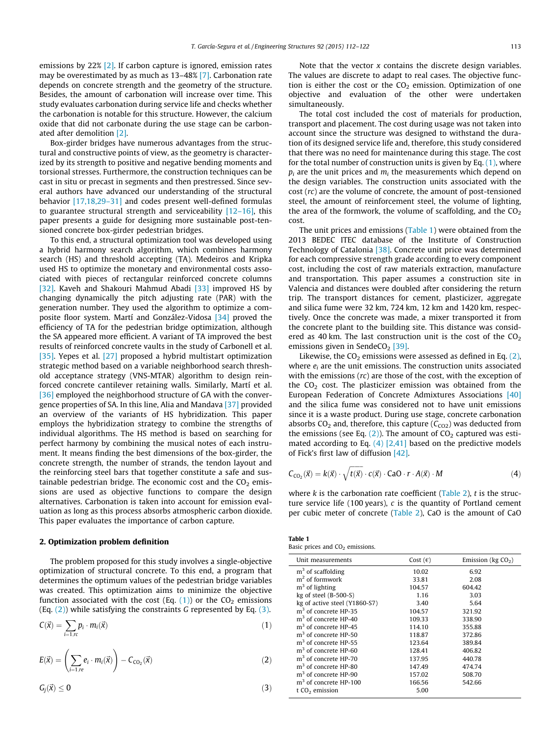emissions by 22% [\[2\].](#page--1-0) If carbon capture is ignored, emission rates may be overestimated by as much as 13–48% [\[7\]](#page--1-0). Carbonation rate depends on concrete strength and the geometry of the structure. Besides, the amount of carbonation will increase over time. This study evaluates carbonation during service life and checks whether the carbonation is notable for this structure. However, the calcium oxide that did not carbonate during the use stage can be carbonated after demolition [\[2\].](#page--1-0)

Box-girder bridges have numerous advantages from the structural and constructive points of view, as the geometry is characterized by its strength to positive and negative bending moments and torsional stresses. Furthermore, the construction techniques can be cast in situ or precast in segments and then prestressed. Since several authors have advanced our understanding of the structural behavior [\[17,18,29–31\]](#page--1-0) and codes present well-defined formulas to guarantee structural strength and serviceability  $[12-16]$ , this paper presents a guide for designing more sustainable post-tensioned concrete box-girder pedestrian bridges.

To this end, a structural optimization tool was developed using a hybrid harmony search algorithm, which combines harmony search (HS) and threshold accepting (TA). Medeiros and Kripka used HS to optimize the monetary and environmental costs associated with pieces of rectangular reinforced concrete columns [\[32\].](#page--1-0) Kaveh and Shakouri Mahmud Abadi [\[33\]](#page--1-0) improved HS by changing dynamically the pitch adjusting rate (PAR) with the generation number. They used the algorithm to optimize a composite floor system. Martí and González-Vidosa [\[34\]](#page--1-0) proved the efficiency of TA for the pedestrian bridge optimization, although the SA appeared more efficient. A variant of TA improved the best results of reinforced concrete vaults in the study of Carbonell et al. [\[35\].](#page--1-0) Yepes et al. [\[27\]](#page--1-0) proposed a hybrid multistart optimization strategic method based on a variable neighborhood search threshold acceptance strategy (VNS-MTAR) algorithm to design reinforced concrete cantilever retaining walls. Similarly, Martí et al. [\[36\]](#page--1-0) employed the neighborhood structure of GA with the convergence properties of SA. In this line, Alia and Mandava [\[37\]](#page--1-0) provided an overview of the variants of HS hybridization. This paper employs the hybridization strategy to combine the strengths of individual algorithms. The HS method is based on searching for perfect harmony by combining the musical notes of each instrument. It means finding the best dimensions of the box-girder, the concrete strength, the number of strands, the tendon layout and the reinforcing steel bars that together constitute a safe and sustainable pedestrian bridge. The economic cost and the  $CO<sub>2</sub>$  emissions are used as objective functions to compare the design alternatives. Carbonation is taken into account for emission evaluation as long as this process absorbs atmospheric carbon dioxide. This paper evaluates the importance of carbon capture.

### 2. Optimization problem definition

The problem proposed for this study involves a single-objective optimization of structural concrete. To this end, a program that determines the optimum values of the pedestrian bridge variables was created. This optimization aims to minimize the objective function associated with the cost (Eq.  $(1)$ ) or the CO<sub>2</sub> emissions (Eq.  $(2)$ ) while satisfying the constraints G represented by Eq.  $(3)$ .

$$
C(\vec{x}) = \sum_{i=1,r} p_i \cdot m_i(\vec{x}) \tag{1}
$$

$$
E(\vec{x}) = \left(\sum_{i=1, re} e_i \cdot m_i(\vec{x})\right) - C_{CO_2}(\vec{x}) \tag{2}
$$

$$
G_j(\vec{x}) \leq 0 \tag{3}
$$

Note that the vector  $x$  contains the discrete design variables. The values are discrete to adapt to real cases. The objective function is either the cost or the  $CO<sub>2</sub>$  emission. Optimization of one objective and evaluation of the other were undertaken simultaneously.

The total cost included the cost of materials for production, transport and placement. The cost during usage was not taken into account since the structure was designed to withstand the duration of its designed service life and, therefore, this study considered that there was no need for maintenance during this stage. The cost for the total number of construction units is given by Eq.  $(1)$ , where  $p_i$  are the unit prices and  $m_i$  the measurements which depend on the design variables. The construction units associated with the cost (rc) are the volume of concrete, the amount of post-tensioned steel, the amount of reinforcement steel, the volume of lighting, the area of the formwork, the volume of scaffolding, and the  $CO<sub>2</sub>$ cost.

The unit prices and emissions (Table 1) were obtained from the 2013 BEDEC ITEC database of the Institute of Construction Technology of Catalonia [\[38\].](#page--1-0) Concrete unit price was determined for each compressive strength grade according to every component cost, including the cost of raw materials extraction, manufacture and transportation. This paper assumes a construction site in Valencia and distances were doubled after considering the return trip. The transport distances for cement, plasticizer, aggregate and silica fume were 32 km, 724 km, 12 km and 1420 km, respectively. Once the concrete was made, a mixer transported it from the concrete plant to the building site. This distance was considered as 40 km. The last construction unit is the cost of the  $CO<sub>2</sub>$ emissions given in SendeCO<sub>2</sub> [\[39\].](#page--1-0)

Likewise, the  $CO<sub>2</sub>$  emissions were assessed as defined in Eq. (2), where  $e_i$  are the unit emissions. The construction units associated with the emissions  $(rc)$  are those of the cost, with the exception of the  $CO<sub>2</sub>$  cost. The plasticizer emission was obtained from the European Federation of Concrete Admixtures Associations [\[40\]](#page--1-0) and the silica fume was considered not to have unit emissions since it is a waste product. During use stage, concrete carbonation absorbs  $CO<sub>2</sub>$  and, therefore, this capture ( $C<sub>CO2</sub>$ ) was deducted from the emissions (see Eq.  $(2)$ ). The amount of CO<sub>2</sub> captured was estimated according to Eq. (4) [\[2,41\]](#page--1-0) based on the predictive models of Fick's first law of diffusion [\[42\]](#page--1-0).

$$
C_{CO_2}(\vec{x}) = k(\vec{x}) \cdot \sqrt{t(\vec{x})} \cdot c(\vec{x}) \cdot \text{CaO} \cdot r \cdot A(\vec{x}) \cdot M \tag{4}
$$

where  $k$  is the carbonation rate coefficient ([Table 2](#page--1-0)),  $t$  is the structure service life (100 years),  $c$  is the quantity of Portland cement per cubic meter of concrete ([Table 2](#page--1-0)), CaO is the amount of CaO

| Table 1                           |  |
|-----------------------------------|--|
| Basic prices and $CO2$ emissions. |  |

| Unit measurements                 | Cost $(\epsilon)$ | Emission ( $kg CO2$ ) |
|-----------------------------------|-------------------|-----------------------|
| $m3$ of scaffolding               | 10.02             | 6.92                  |
| $m2$ of formwork                  | 33.81             | 2.08                  |
| $m3$ of lighting                  | 104.57            | 604.42                |
| $kg$ of steel (B-500-S)           | 1.16              | 3.03                  |
| kg of active steel (Y1860-S7)     | 3.40              | 5.64                  |
| $m3$ of concrete HP-35            | 104.57            | 321.92                |
| $m3$ of concrete HP-40            | 109.33            | 338.90                |
| $m3$ of concrete HP-45            | 114.10            | 355.88                |
| $m3$ of concrete HP-50            | 118.87            | 372.86                |
| $m3$ of concrete HP-55            | 123.64            | 389.84                |
| m <sup>3</sup> of concrete HP-60  | 128.41            | 406.82                |
| m <sup>3</sup> of concrete HP-70  | 137.95            | 440.78                |
| $m3$ of concrete HP-80            | 147.49            | 474.74                |
| $m3$ of concrete HP-90            | 157.02            | 508.70                |
| m <sup>3</sup> of concrete HP-100 | 166.56            | 542.66                |
| t CO2 emission                    | 5.00              |                       |